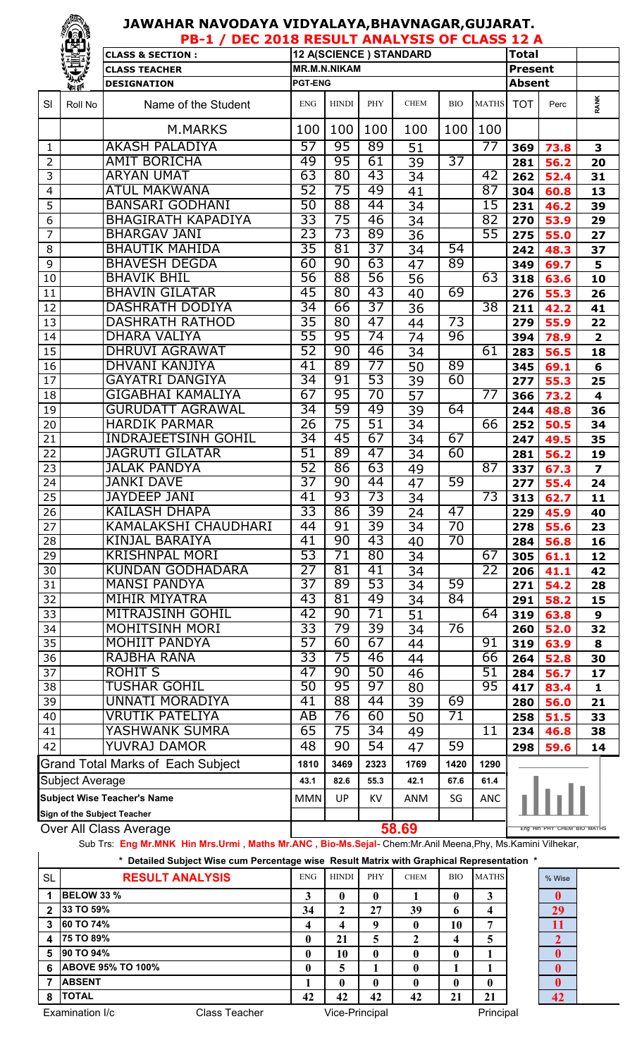## **JAWAHAR NAVODAYA VIDYALAYA,BHAVNAGAR,GUJARAT.**

|                                    | <b>TEST</b>                 | DEC 2018 RESULT ANALYSIS OF CLASS 12 A<br>$PB-1/$ |                 |                     |                 |                        |                 |                 |                |                            |                         |  |
|------------------------------------|-----------------------------|---------------------------------------------------|-----------------|---------------------|-----------------|------------------------|-----------------|-----------------|----------------|----------------------------|-------------------------|--|
|                                    |                             | <b>CLASS &amp; SECTION:</b>                       |                 |                     |                 | 12 A(SCIENCE) STANDARD |                 |                 | <b>Total</b>   |                            |                         |  |
|                                    |                             | <b>CLASS TEACHER</b>                              |                 | <b>MR.M.N.NIKAM</b> |                 |                        |                 |                 | <b>Present</b> |                            |                         |  |
|                                    | <b><i>DIT TEN</i></b>       | <b>DESIGNATION</b>                                | <b>PGT-ENG</b>  |                     |                 |                        |                 |                 | <b>Absent</b>  |                            |                         |  |
| SI                                 | Roll No                     | Name of the Student                               | <b>ENG</b>      | <b>HINDI</b>        | PHY             | <b>CHEM</b>            | <b>BIO</b>      | <b>MATHS</b>    | <b>TOT</b>     | Perc                       | <b>RANK</b>             |  |
|                                    |                             | M.MARKS                                           | 100             | 100                 | 100             | 100                    | 100             | 100             |                |                            |                         |  |
| 1                                  |                             | <b>AKASH PALADIYA</b>                             | 57              | 95                  | 89              | 51                     |                 | 77              | 369            | 73.8                       | 3                       |  |
| 2                                  |                             | <b>AMIT BORICHA</b>                               | 49              | 95                  | 61              | 39                     | 37              |                 | 281            | 56.2                       | 20                      |  |
| 3                                  |                             | <b>ARYAN UMAT</b>                                 | 63              | 80                  | 43              | 34                     |                 | 42              | 262            | 52.4                       | 31                      |  |
| 4                                  |                             | <b>ATUL MAKWANA</b>                               | 52              | 75                  | 49              | 41                     |                 | 87              | 304            | 60.8                       | 13                      |  |
| 5                                  |                             | <b>BANSARI GODHANI</b>                            | 50              | $\overline{88}$     | 44              | 34                     |                 | 15              | 231            | 46.2                       | 39                      |  |
| 6                                  |                             | <b>BHAGIRATH KAPADIYA</b>                         | 33              | 75                  | 46              | 34                     |                 | 82              | 270            | 53.9                       | 29                      |  |
| 7                                  |                             | <b>BHARGAV JANI</b>                               | 23              | 73                  | 89              | 36                     |                 | 55              | 275            | 55.0                       | 27                      |  |
| 8                                  |                             | <b>BHAUTIK MAHIDA</b>                             | 35              | 81                  | 37              | 34                     | $\overline{54}$ |                 | 242            | 48.3                       | 37                      |  |
| 9                                  |                             | <b>BHAVESH DEGDA</b>                              | 60              | 90                  | 63              | 47                     | 89              |                 | 349            | 69.7                       | 5                       |  |
| 10                                 |                             | <b>BHAVIK BHIL</b>                                | 56              | 88                  | 56              | 56                     |                 | 63              | 318            | 63.6                       | 10                      |  |
| 11                                 |                             | <b>BHAVIN GILATAR</b>                             | 45              | $\overline{80}$     | 43              | 40                     | 69              |                 | 276            | 55.3                       | 26                      |  |
| 12                                 |                             | <b>DASHRATH DODIYA</b>                            | 34              | 66                  | 37              | 36                     |                 | 38              | 211            | 42.2                       | 41                      |  |
| 13                                 |                             | <b>DASHRATH RATHOD</b>                            | 35              | 80                  | 47              | 44                     | 73              |                 | 279            | 55.9                       | 22                      |  |
| 14                                 |                             | <b>DHARA VALIYA</b>                               | 55              | 95                  | 74              | 74                     | 96              |                 | 394            | 78.9                       | $\overline{\mathbf{2}}$ |  |
| 15                                 |                             | <b>DHRUVI AGRAWAT</b>                             | 52              | 90                  | 46              | 34                     |                 | 61              | 283            | 56.5                       | 18                      |  |
| 16                                 |                             | DHVANI KANJIYA                                    | 41              | 89                  | 77              | 50                     | 89              |                 | 345            | 69.1                       | 6                       |  |
| 17                                 |                             | <b>GAYATRI DANGIYA</b>                            | $\overline{34}$ | 91                  | 53              | 39                     | 60              |                 | 277            | 55.3                       | 25                      |  |
| 18                                 |                             | GIGABHAI KAMALIYA                                 | 67              | 95                  | 70              | 57                     |                 | 77              | 366            | 73.2                       | 4                       |  |
| 19                                 |                             | GURUDATT AGRAWAL                                  | 34              | 59                  | 49              | 39                     | 64              |                 | 244            | 48.8                       | 36                      |  |
| 20                                 |                             | <b>HARDIK PARMAR</b>                              | 26<br>34        | 75                  | 51<br>67        | 34                     | 67              | 66              | 252            | 50.5                       | 34                      |  |
| 21                                 |                             | <b>INDRAJEETSINH GOHIL</b>                        | 51              | 45<br>89            | 47              | 34                     | 60              |                 | 247            | 49.5                       | 35                      |  |
| 22                                 |                             | JAGRUTI GILATAR<br><b>JALAK PANDYA</b>            | 52              | 86                  | 63              | 34                     |                 | $\overline{87}$ | 281            | 56.2                       | 19                      |  |
| 23<br>24                           |                             | <b>JANKI DAVE</b>                                 | 37              | 90                  | 44              | 49                     | 59              |                 | 337            | 67.3                       | $\overline{z}$          |  |
| 25                                 |                             | <b>JAYDEEP JANI</b>                               | 41              | 93                  | 73              | 47<br>34               |                 | 73              | 277<br>313     | 55.4<br>62.7               | 24<br>11                |  |
| 26                                 |                             | <b>KAILASH DHAPA</b>                              | 33              | 86                  | 39              |                        | 47              |                 | 229            | 45.9                       | 40                      |  |
| 27                                 |                             | KAMALAKSHI CHAUDHARI                              | 44              | 91                  | 39              | 24<br>34               | $\overline{70}$ |                 | 278            | 55.6                       | 23                      |  |
| 28                                 |                             | <b>KINJAL BARAIYA</b>                             | 41              | 90                  | 43              | 40                     | $\overline{70}$ |                 | 284            | 56.8                       | 16                      |  |
| 29                                 |                             | <b>KRISHNPAL MORI</b>                             | 53              | 71                  | $\overline{80}$ | 34                     |                 | 67              | 305            | 61.1                       | 12                      |  |
| 30                                 |                             | KUNDAN GODHADARA                                  | 27              | $\overline{81}$     | 41              | 34                     |                 | 22              | 206            | 41.1                       | 42                      |  |
| 31                                 |                             | <b>MANSI PANDYA</b>                               | 37              | 89                  | 53              | 34                     | 59              |                 | 271            | 54.2                       | 28                      |  |
| 32                                 |                             | <b>MIHIR MIYATRA</b>                              | 43              | 81                  | 49              | 34                     | $\overline{84}$ |                 | 291            | 58.2                       | 15                      |  |
| 33                                 |                             | <b>MITRAJSINH GOHIL</b>                           | 42              | 90                  | 71              | 51                     |                 | 64              | 319            | 63.8                       | 9                       |  |
| 34                                 |                             | <b>MOHITSINH MORI</b>                             | 33              | 79                  | 39              | 34                     | 76              |                 | 260            | 52.0                       | 32                      |  |
| 35                                 |                             | <b>MOHIIT PANDYA</b>                              | 57              | 60                  | 67              | 44                     |                 | 91              | 319            | 63.9                       | 8                       |  |
| 36                                 |                             | RAJBHA RANA                                       | 33              | $\overline{75}$     | 46              | 44                     |                 | 66              | 264            | 52.8                       | 30                      |  |
| 37                                 |                             | <b>ROHIT S</b>                                    | 47              | 90                  | $\overline{50}$ | 46                     |                 | 51              | 284            | 56.7                       | 17                      |  |
| 38                                 |                             | <b>TUSHAR GOHIL</b>                               | 50              | 95                  | 97              | 80                     |                 | 95              | 417            | 83.4                       | 1                       |  |
| 39                                 |                             | UNNATI MORADIYA                                   | 41              | 88                  | 44              | 39                     | 69              |                 | 280            | 56.0                       | 21                      |  |
| 40                                 |                             | VRUTIK PATELIYA                                   | AB              | 76                  | 60              | 50                     | $\overline{71}$ |                 | 258            | 51.5                       | 33                      |  |
| 41                                 |                             | YASHWANK SUMRA                                    | 65              | 75                  | 34              | 49                     |                 | $\overline{11}$ | 234            | 46.8                       | 38                      |  |
| 42                                 |                             | YUVRAJ DAMOR                                      | 48              | 90                  | 54              | 47                     | 59              |                 | 298            | 59.6                       | 14                      |  |
| Grand Total Marks of Each Subject  |                             |                                                   | 1810            | 3469                | 2323            | 1769                   | 1420            | 1290            |                |                            |                         |  |
| <b>Subject Average</b>             |                             |                                                   | 43.1            | 82.6                | 55.3            | 42.1                   | 67.6            | 61.4            |                |                            |                         |  |
| <b>Subject Wise Teacher's Name</b> |                             |                                                   | <b>MMN</b>      | <b>UP</b>           | KV              | <b>ANM</b>             | SG              | <b>ANC</b>      |                |                            |                         |  |
|                                    | Sign of the Subject Teacher |                                                   |                 |                     |                 |                        |                 |                 |                |                            |                         |  |
|                                    |                             | Over All Class Average                            |                 |                     |                 | 58.69                  |                 |                 |                | Eng Hin PHY CHEM BIO MATHS |                         |  |
|                                    |                             |                                                   |                 |                     |                 |                        |                 |                 |                |                            |                         |  |

Sub Trs: **Eng Mr.MNK Hin Mrs.Urmi** , **Maths Mr.ANC , Bio-Ms.Sejal**- Chem:Mr.Anil Meena,Phy, Ms.Kamini Vilhekar,

|              | * Detailed Subject Wise cum Percentage wise Result Matrix with Graphical Representation * |            |              |              |             |            |              |           |
|--------------|-------------------------------------------------------------------------------------------|------------|--------------|--------------|-------------|------------|--------------|-----------|
| <b>SL</b>    | <b>RESULT ANALYSIS</b>                                                                    | <b>ENG</b> | <b>HINDI</b> | <b>PHY</b>   | <b>CHEM</b> | <b>BIO</b> | <b>MATHS</b> | % Wise    |
|              | <b>BELOW 33 %</b>                                                                         | 3          |              | 0            |             |            | 3            |           |
| $\mathbf{2}$ | 33 TO 59%                                                                                 | 34         | າ            | 27           | 39          | o          | 4            | 29        |
| 3            | 60 TO 74%                                                                                 | 4          | 4            | 9            | 0           | 10         | 7            | <b>11</b> |
| $\mathbf{A}$ | <b>75 TO 89%</b>                                                                          | 0          | 21           | 5            |             |            | 5            |           |
| 5            | 90 TO 94%                                                                                 | 0          | 10           | $\mathbf{0}$ | 0           | 0          |              | 0         |
| 6            | <b>ABOVE 95% TO 100%</b>                                                                  | 0          | 5            |              | 0           |            |              | 0         |
|              | <b>ABSENT</b>                                                                             |            |              | 0            | 0           | 0          | 0            |           |
| 8            | <b>TOTAL</b>                                                                              | 42         | 42           | 42           | 42          | 21         | 21           | 42        |

| % Wise |  |
|--------|--|
|        |  |
| 2      |  |
|        |  |
|        |  |
|        |  |
|        |  |
|        |  |
|        |  |
|        |  |

Examination I/c Class Teacher Vice-Principal Principal